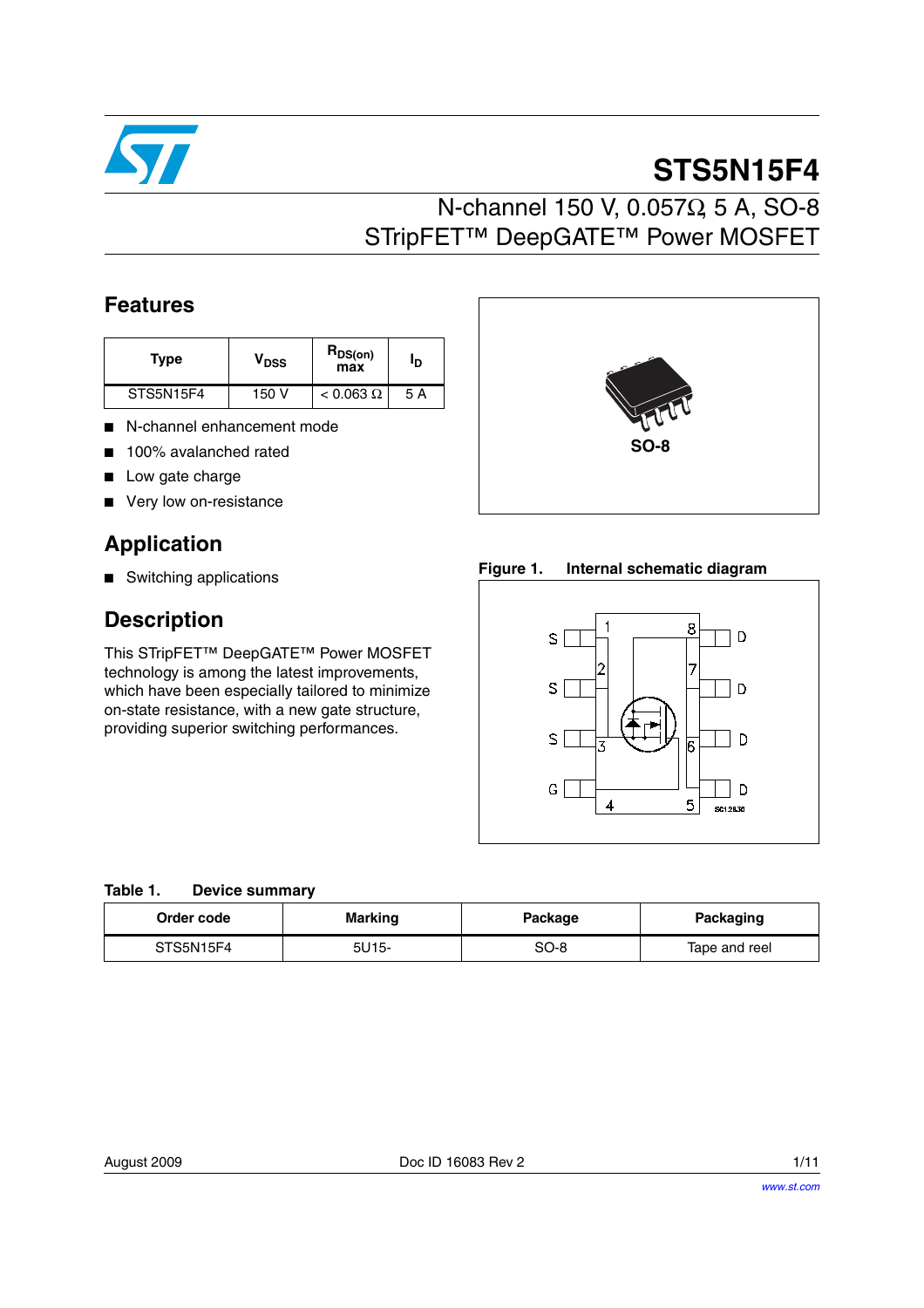

# **STS5N15F4**

# N-channel 150 V, 0.057Ω, 5 A, SO-8 STripFET™ DeepGATE™ Power MOSFET

### **Features**

| Type      | V <sub>DSS</sub> | $R_{DS(on)}$<br>max | סי  |
|-----------|------------------|---------------------|-----|
| STS5N15F4 | 150 V            | $< 0.063 \Omega$    | 5 A |

- N-channel enhancement mode
- 100% avalanched rated
- Low gate charge
- Very low on-resistance

### **Application**

■ Switching applications

### **Description**

This STripFET™ DeepGATE™ Power MOSFET technology is among the latest improvements, which have been especially tailored to minimize on-state resistance, with a new gate structure, providing superior switching performances.



**SO-8**



#### **Table 1. Device summary**

| Order code | <b>Marking</b> |      | Packaging     |  |
|------------|----------------|------|---------------|--|
| STS5N15F4  | 5U15-          | SO-8 | Tape and reel |  |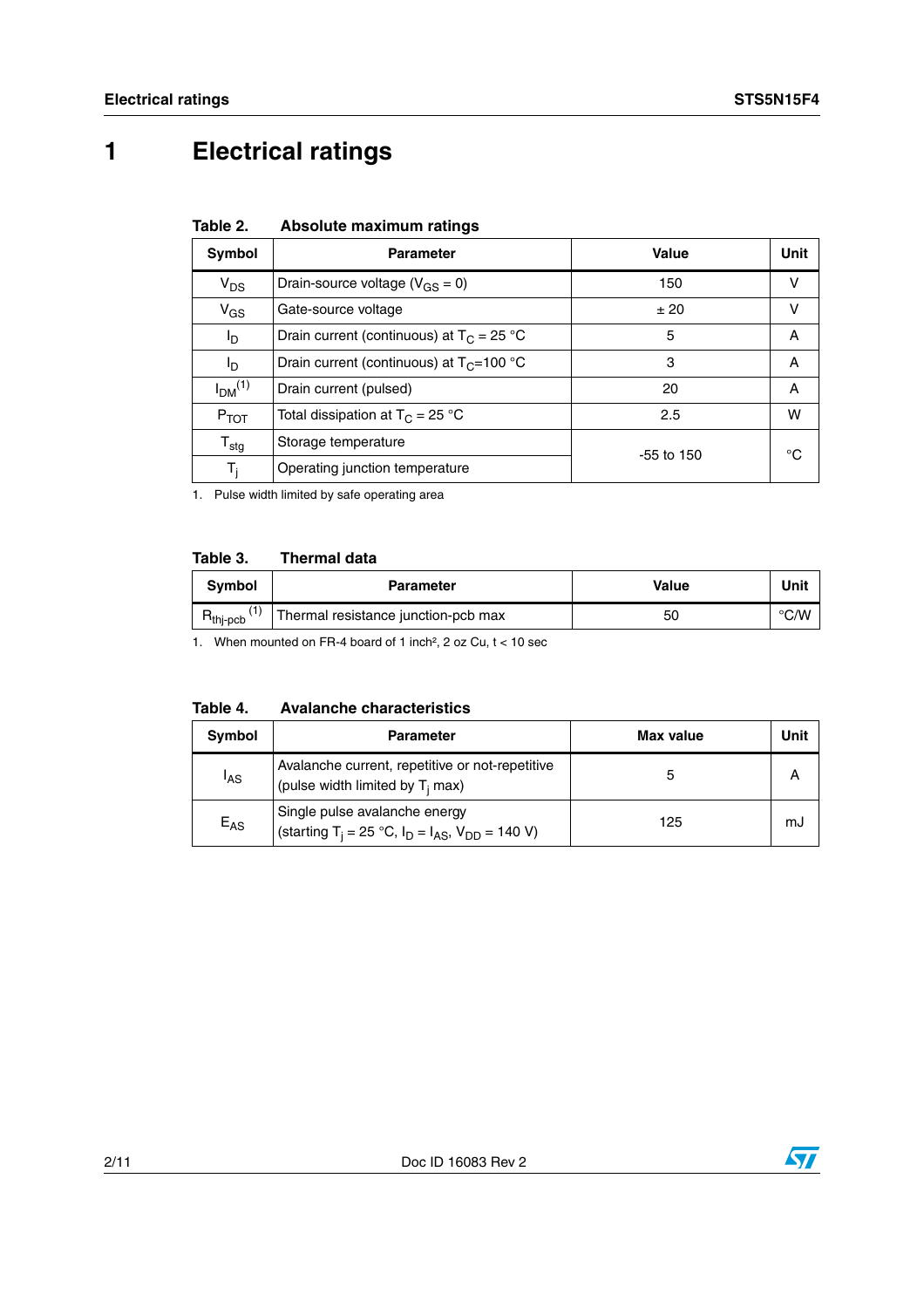# **1 Electrical ratings**

| Table 2. |  | Absolute maximum ratings |  |
|----------|--|--------------------------|--|
|----------|--|--------------------------|--|

| Symbol                         | <b>Parameter</b>                             | Value        | Unit |
|--------------------------------|----------------------------------------------|--------------|------|
| $\mathsf{V}_{\mathsf{DS}}$     | Drain-source voltage ( $V_{GS} = 0$ )        | 150          | v    |
| $V_{GS}$                       | Gate-source voltage                          | ±20          | v    |
| l <sub>D</sub>                 | Drain current (continuous) at $T_C = 25 °C$  | 5            | A    |
| l <sub>D</sub>                 | Drain current (continuous) at $T_C = 100 °C$ | 3            | A    |
| I <sub>DM</sub> <sup>(1)</sup> | Drain current (pulsed)                       | 20           | A    |
| $P_{TOT}$                      | Total dissipation at $T_C = 25 °C$           | 2.5          | w    |
| $\mathsf{T}_{\mathsf{stg}}$    | Storage temperature                          | $-55$ to 150 | °C   |
| T,                             | Operating junction temperature               |              |      |

1. Pulse width limited by safe operating area

#### **Table 3. Thermal data**

| <b>Symbol</b>                         | <b>Parameter</b>                    | Value | Unit          |
|---------------------------------------|-------------------------------------|-------|---------------|
| ٬۱<br>$\mathsf{R}_{\mathsf{thj-pcb}}$ | Thermal resistance junction-pcb max | 50    | $\degree$ C/W |

1. When mounted on FR-4 board of 1 inch<sup>2</sup>, 2 oz Cu,  $t < 10$  sec

| <b>Avalanche characteristics</b><br>Table 4. |
|----------------------------------------------|
|----------------------------------------------|

| Symbol          | <b>Parameter</b>                                                                                       | Max value | Unit |
|-----------------|--------------------------------------------------------------------------------------------------------|-----------|------|
| <sup>I</sup> AS | Avalanche current, repetitive or not-repetitive<br>(pulse width limited by T <sub>i</sub> max)         |           |      |
| $E_{AS}$        | Single pulse avalanche energy<br>(starting T <sub>i</sub> = 25 °C, $I_D = I_{AS}$ , $V_{DD} = 140 V$ ) | 125       | mJ   |

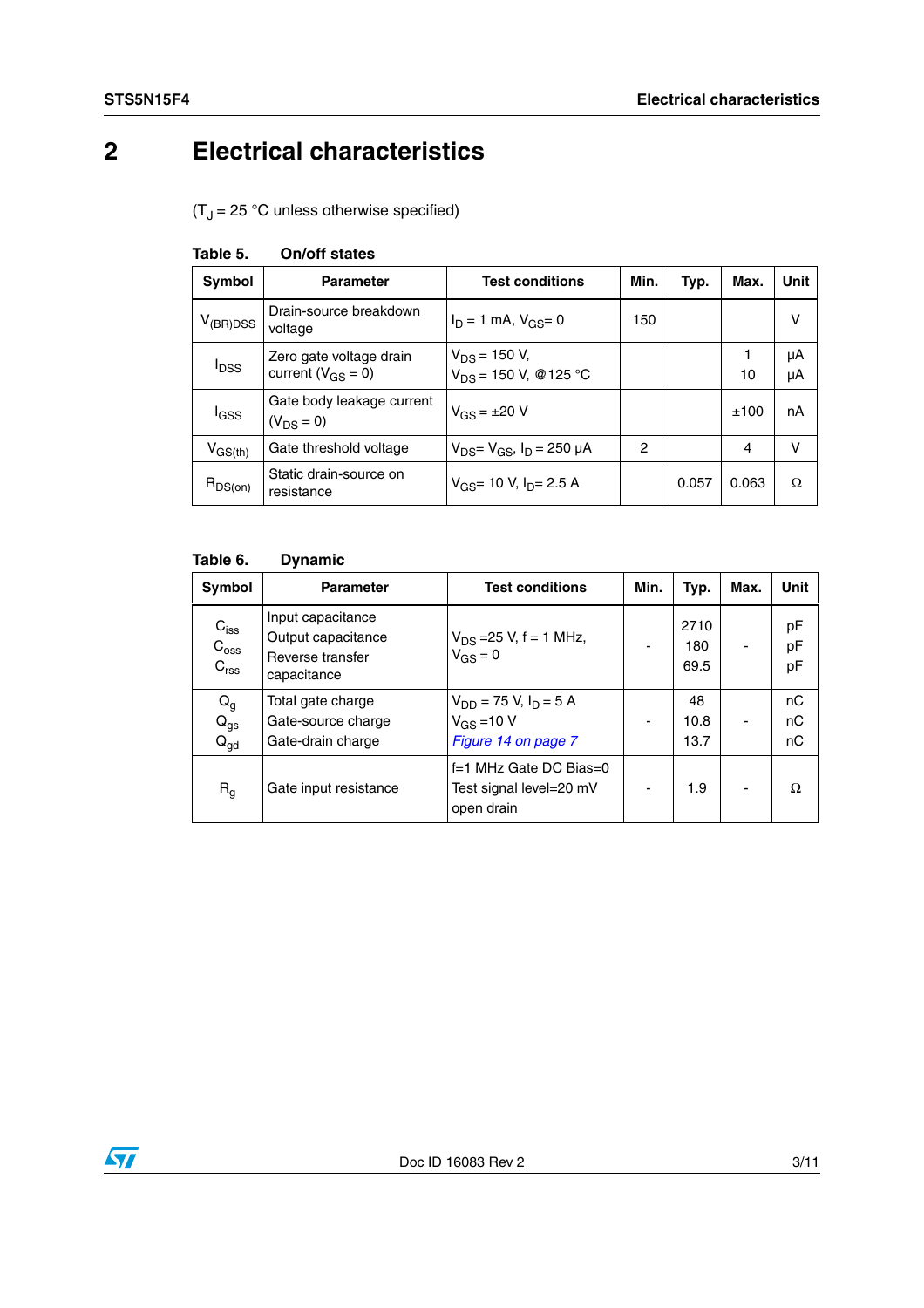# **2 Electrical characteristics**

 $(T_J = 25 \text{ °C}$  unless otherwise specified)

| Symbol                  | <b>Parameter</b>                                    | <b>Test conditions</b>                          | Min. | Typ.  | Max.  | Unit     |
|-------------------------|-----------------------------------------------------|-------------------------------------------------|------|-------|-------|----------|
| $V_{(BR)DSS}$           | Drain-source breakdown<br>voltage                   | $I_D = 1$ mA, $V_{GS} = 0$                      | 150  |       |       | v        |
| <b>I</b> <sub>DSS</sub> | Zero gate voltage drain<br>current ( $V_{GS} = 0$ ) | $V_{DS}$ = 150 V,<br>$V_{DS}$ = 150 V, @ 125 °C |      |       | 10    | μA<br>μA |
| l <sub>GSS</sub>        | Gate body leakage current<br>$(V_{DS} = 0)$         | $V_{GS} = \pm 20 V$                             |      |       | ±100  | nA       |
| $V_{GS(th)}$            | Gate threshold voltage                              | $V_{DS} = V_{GS}$ , $I_D = 250 \mu A$           | 2    |       | 4     | v        |
| $R_{DS(on)}$            | Static drain-source on<br>resistance                | $V_{GS}$ = 10 V, $I_{D}$ = 2.5 A                |      | 0.057 | 0.063 | Ω        |

#### **Table 5. On/off states**

#### **Table 6. Dynamic**

| <b>Symbol</b>                                     | <b>Parameter</b>                                                           | Min.<br><b>Test conditions</b>                                                  |                | Typ.                | Max. | <b>Unit</b>    |
|---------------------------------------------------|----------------------------------------------------------------------------|---------------------------------------------------------------------------------|----------------|---------------------|------|----------------|
| $C_{iss}$<br>$C_{\rm{oss}}$<br>$C_{\text{rss}}$   | Input capacitance<br>Output capacitance<br>Reverse transfer<br>capacitance | $V_{DS}$ =25 V, f = 1 MHz,<br>$V_{GS} = 0$                                      |                | 2710<br>180<br>69.5 |      | pF<br>pF<br>pF |
| $\mathsf{Q}_{\mathsf{g}}$<br>$Q_{gs}$<br>$Q_{qd}$ | Total gate charge<br>Gate-source charge<br>Gate-drain charge               | $V_{DD}$ = 75 V, I <sub>D</sub> = 5 A<br>$V_{GS} = 10 V$<br>Figure 14 on page 7 | -              | 48<br>10.8<br>13.7  |      | nC<br>nС<br>nС |
| $R_g$                                             | Gate input resistance                                                      | f=1 MHz Gate DC Bias=0<br>Test signal level=20 mV<br>open drain                 | $\blacksquare$ | 1.9                 |      | Ω              |

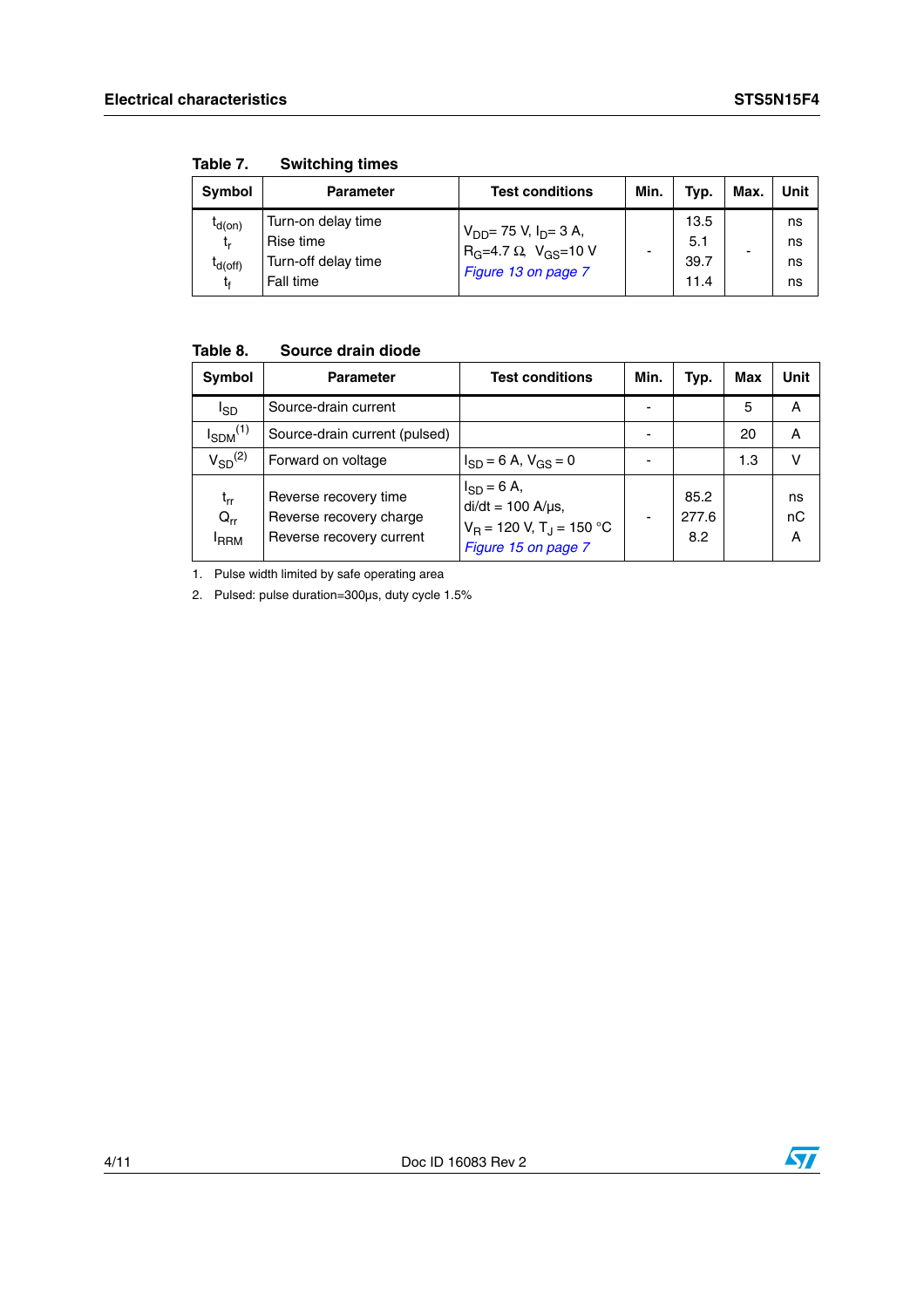| <b>Symbol</b>                           | <b>Parameter</b>                                                    | <b>Test conditions</b>                                                                            | Min. | Typ.                        | Max. | Unit                 |
|-----------------------------------------|---------------------------------------------------------------------|---------------------------------------------------------------------------------------------------|------|-----------------------------|------|----------------------|
| $I_{d(on)}$<br>t,<br>$I_{d(off)}$<br>t. | Turn-on delay time<br>Rise time<br>Turn-off delay time<br>Fall time | $V_{DD}$ = 75 V, I <sub>D</sub> = 3 A,<br>$R_G=4.7 \Omega$ , $V_{GS}=10 V$<br>Figure 13 on page 7 |      | 13.5<br>5.1<br>39.7<br>11.4 | -    | ns<br>ns<br>ns<br>ns |

**Table 7. Switching times**

### **Table 8. Source drain diode**

| Symbol                                   | <b>Parameter</b>                                                             | <b>Test conditions</b>                                                                                        | Min. | Typ.                 | Max | Unit          |
|------------------------------------------|------------------------------------------------------------------------------|---------------------------------------------------------------------------------------------------------------|------|----------------------|-----|---------------|
| I <sub>SD</sub>                          | Source-drain current                                                         |                                                                                                               |      |                      | 5   | A             |
| $I_{SDM}$ <sup>(1)</sup>                 | Source-drain current (pulsed)                                                |                                                                                                               |      |                      | 20  | A             |
| $V_{SD}^{(2)}$                           | Forward on voltage                                                           | $I_{SD} = 6$ A, $V_{GS} = 0$                                                                                  |      |                      | 1.3 | v             |
| $t_{rr}$<br>$Q_{rr}$<br><sup>I</sup> RRM | Reverse recovery time<br>Reverse recovery charge<br>Reverse recovery current | $I_{SD} = 6 A,$<br>$di/dt = 100$ A/ $\mu$ s,<br>$V_B$ = 120 V, T <sub>J</sub> = 150 °C<br>Figure 15 on page 7 |      | 85.2<br>277.6<br>8.2 |     | ns<br>nC<br>A |

1. Pulse width limited by safe operating area

2. Pulsed: pulse duration=300µs, duty cycle 1.5%

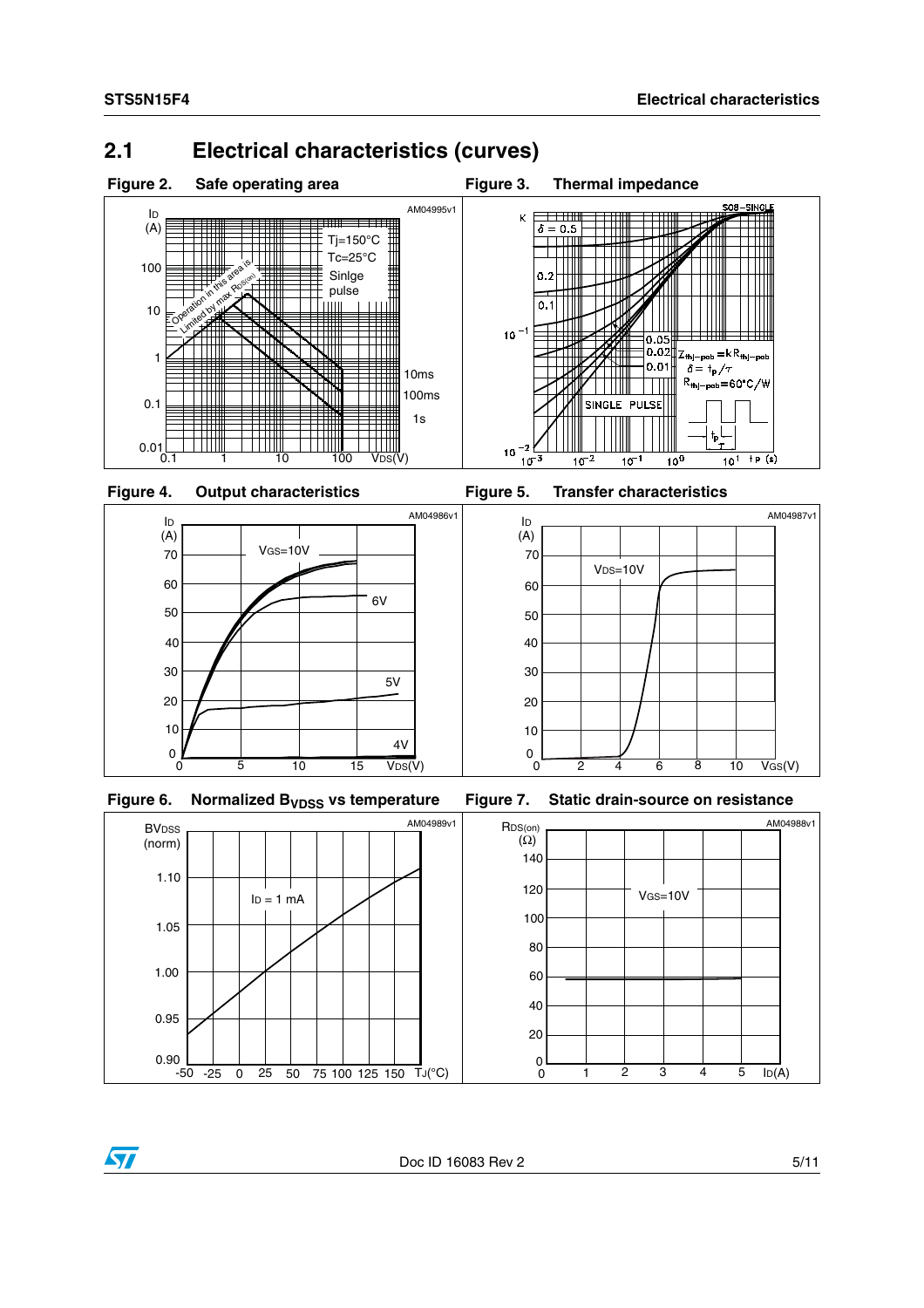### **2.1 Electrical characteristics (curves)**







 $ID = 1 mA$ 

-50 -25 0 25 50 75 100 125 150 TJ(°C)

<span id="page-4-0"></span>

<span id="page-4-1"></span>



**BV**<sub>DSS</sub>

(norm)

 $0.90$   $-50$ 

0.95

1.00

1.05

1.10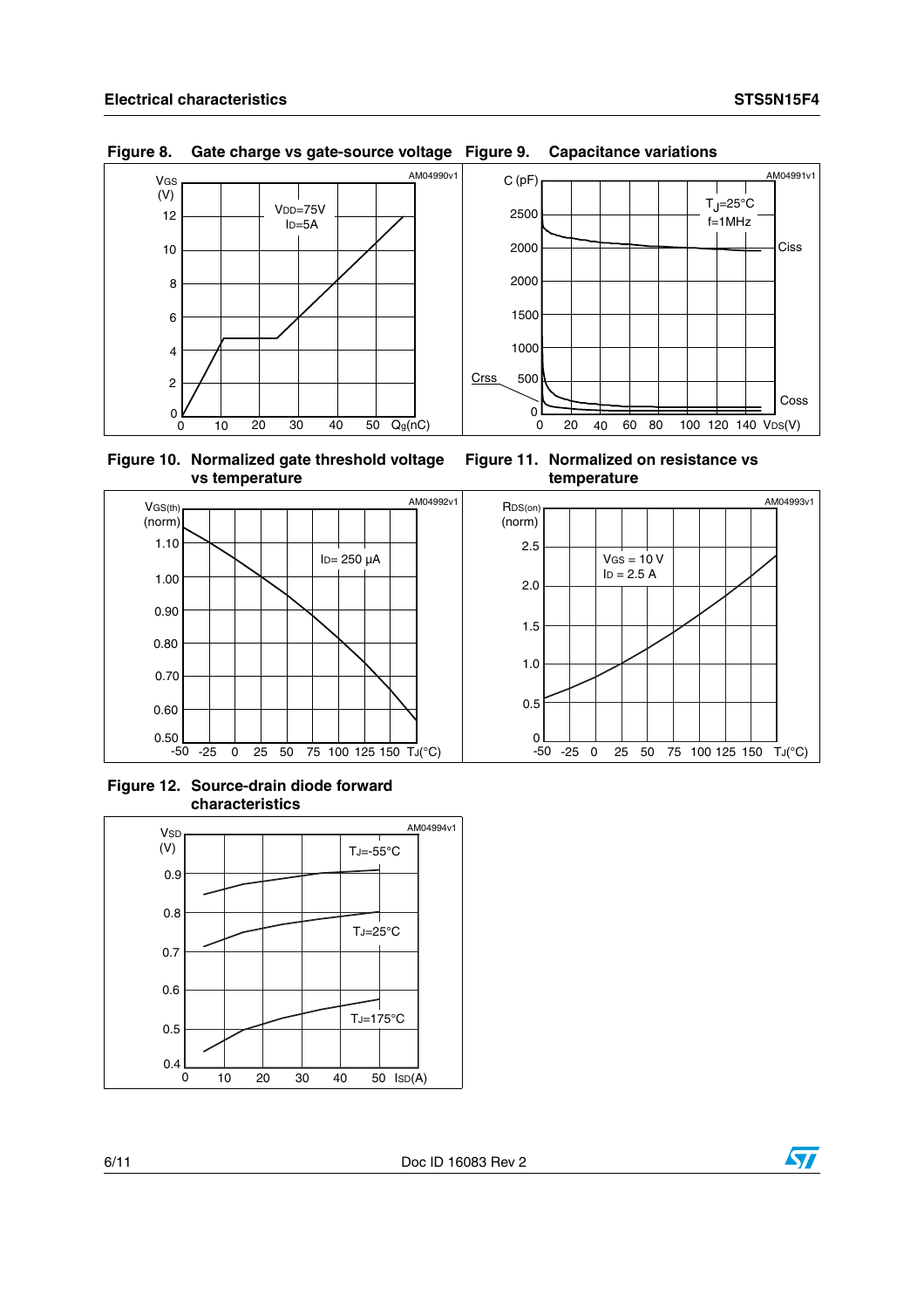AM04993v1



**Figure 8. Gate charge vs gate-source voltage Figure 9. Capacitance variations**

<span id="page-5-0"></span>

<span id="page-5-1"></span>

 $VGS = 10 V$  $ID = 2.5 A$ 



**Figure 12. Source-drain diode forward characteristics**



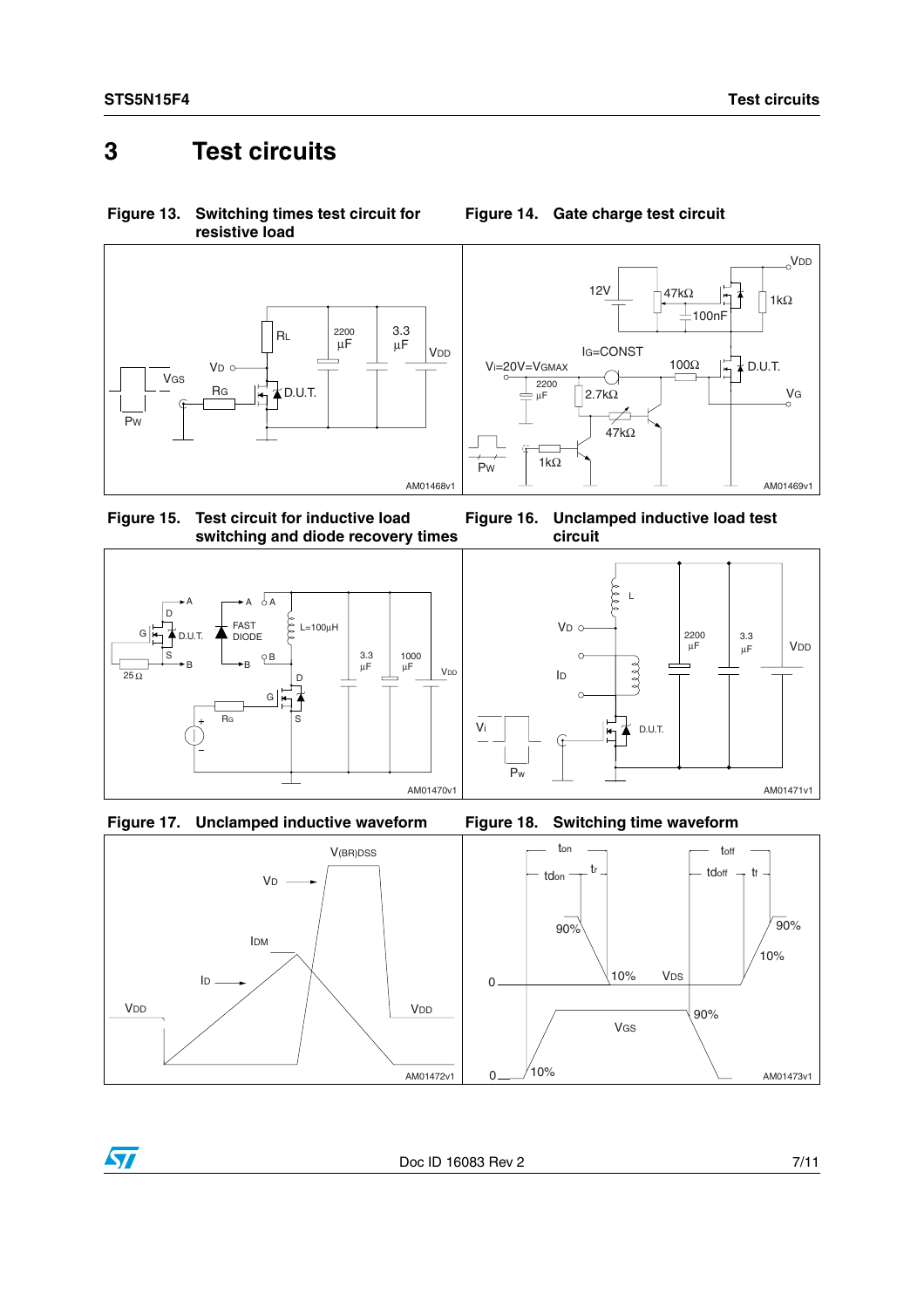### **3 Test circuits**

<span id="page-6-1"></span>**Figure 13. Switching times test circuit for resistive load**



VDD 12V 47kΩ | 1 | 1kΩ 100nF IG=CONST 100Ω Vi=20V=VGMAX  $\frac{1}{1}$   $\neq$  D.U.T. O 2200 VG  $\vert$ 2.7kΩ µF फ्र  $47k\Omega$ 1kΩ .<br>Pw AM01469v1

<span id="page-6-0"></span>**Figure 14. Gate charge test circuit**

<span id="page-6-2"></span>**Figure 15. Test circuit for inductive load switching and diode recovery times**







**Figure 16. Unclamped inductive load test** 



 $\sqrt{2}$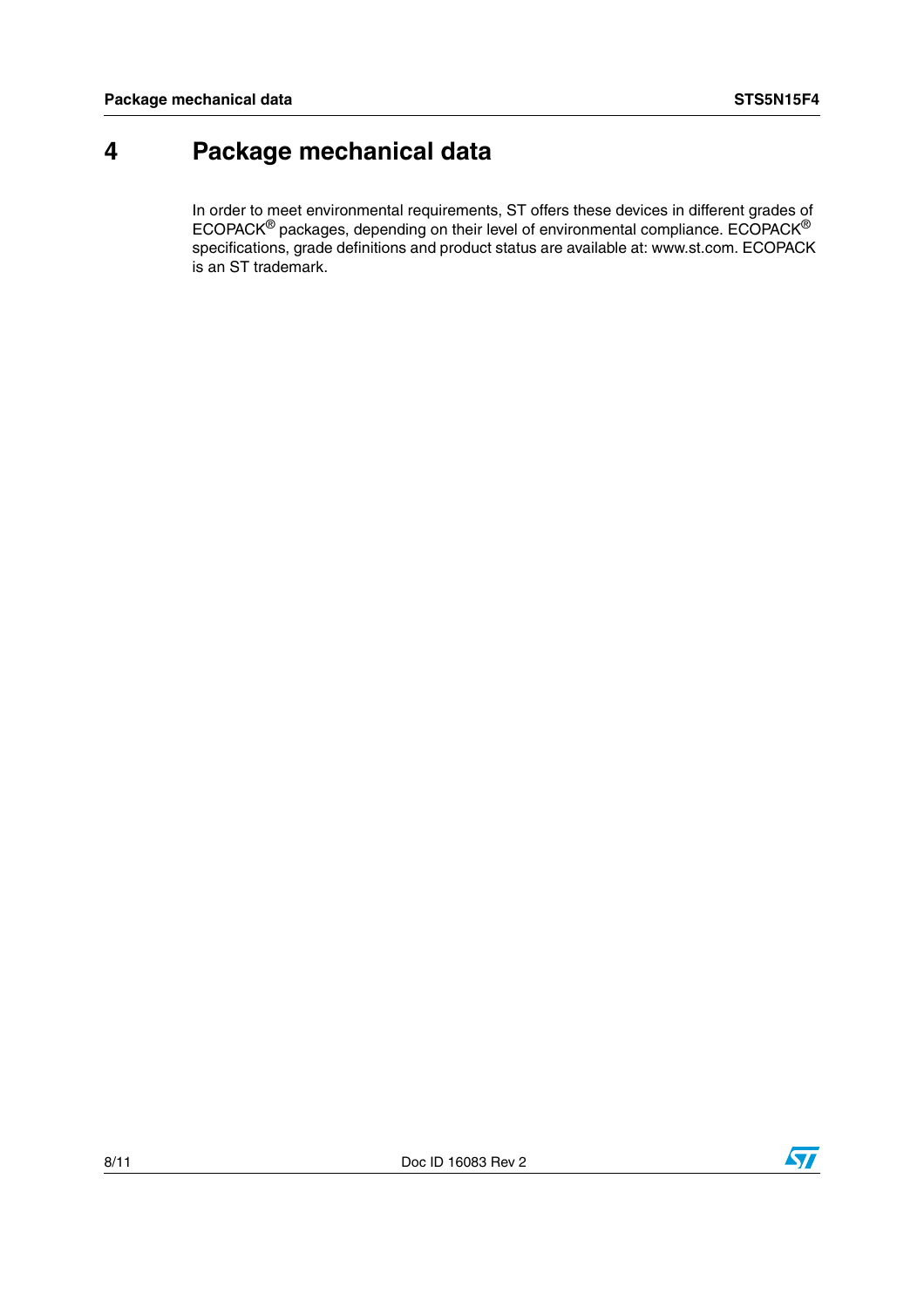# **4 Package mechanical data**

In order to meet environmental requirements, ST offers these devices in different grades of ECOPACK® packages, depending on their level of environmental compliance. ECOPACK® specifications, grade definitions and product status are available at: www.st.com. ECOPACK is an ST trademark.

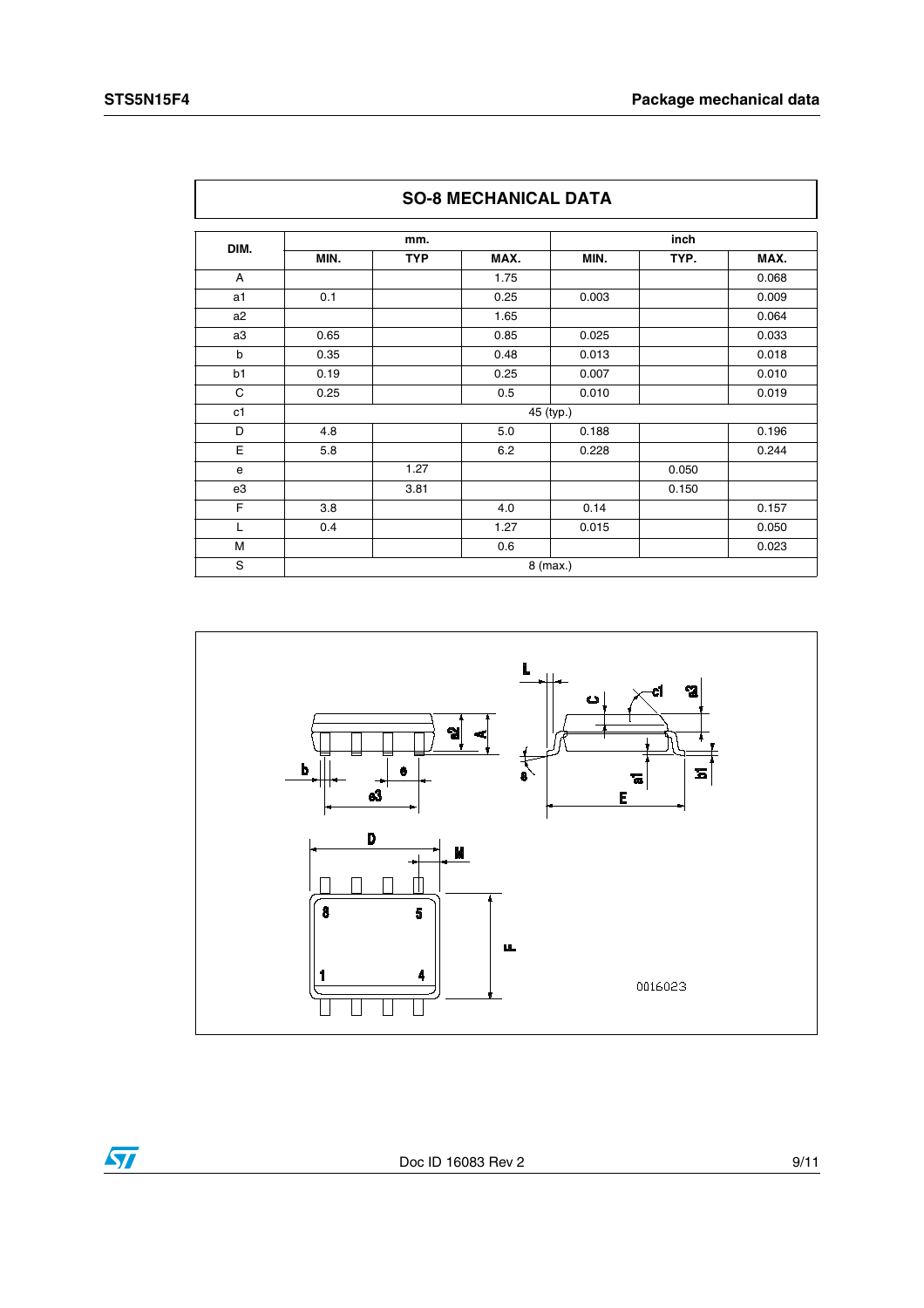$\overline{\mathbf{H}}$ 

| <b>SO-8 MECHANICAL DATA</b> |      |            |      |           |       |       |  |  |
|-----------------------------|------|------------|------|-----------|-------|-------|--|--|
|                             |      | mm.        |      |           | inch  |       |  |  |
| DIM.                        | MIN. | <b>TYP</b> | MAX. | MIN.      | TYP.  | MAX.  |  |  |
| A                           |      |            | 1.75 |           |       | 0.068 |  |  |
| a1                          | 0.1  |            | 0.25 | 0.003     |       | 0.009 |  |  |
| a <sub>2</sub>              |      |            | 1.65 |           |       | 0.064 |  |  |
| a3                          | 0.65 |            | 0.85 | 0.025     |       | 0.033 |  |  |
| b                           | 0.35 |            | 0.48 | 0.013     |       | 0.018 |  |  |
| b1                          | 0.19 |            | 0.25 | 0.007     |       | 0.010 |  |  |
| C                           | 0.25 |            | 0.5  | 0.010     |       | 0.019 |  |  |
| c1                          |      |            |      | 45 (typ.) |       |       |  |  |
| D                           | 4.8  |            | 5.0  | 0.188     |       | 0.196 |  |  |
| E                           | 5.8  |            | 6.2  | 0.228     |       | 0.244 |  |  |
| e                           |      | 1.27       |      |           | 0.050 |       |  |  |
| e3                          |      | 3.81       |      |           | 0.150 |       |  |  |
| F                           | 3.8  |            | 4.0  | 0.14      |       | 0.157 |  |  |
| L                           | 0.4  |            | 1.27 | 0.015     |       | 0.050 |  |  |
| M                           |      |            | 0.6  |           |       | 0.023 |  |  |
| S                           |      | 8 (max.)   |      |           |       |       |  |  |

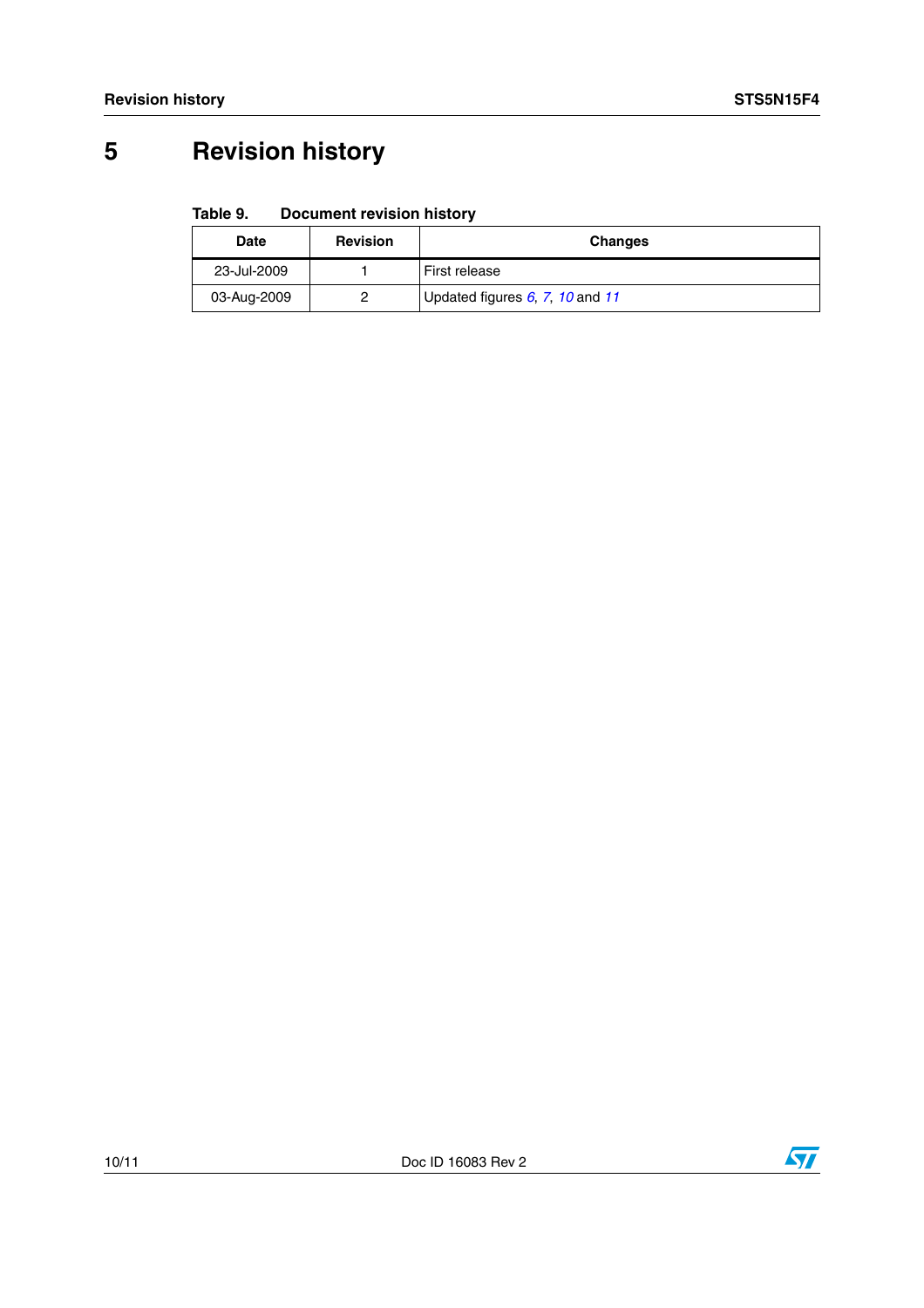# **5 Revision history**

#### Table 9. **Document revision history**

| Date        | <b>Revision</b> | <b>Changes</b>                  |
|-------------|-----------------|---------------------------------|
| 23-Jul-2009 |                 | First release                   |
| 03-Aug-2009 |                 | Updated figures 6, 7, 10 and 11 |